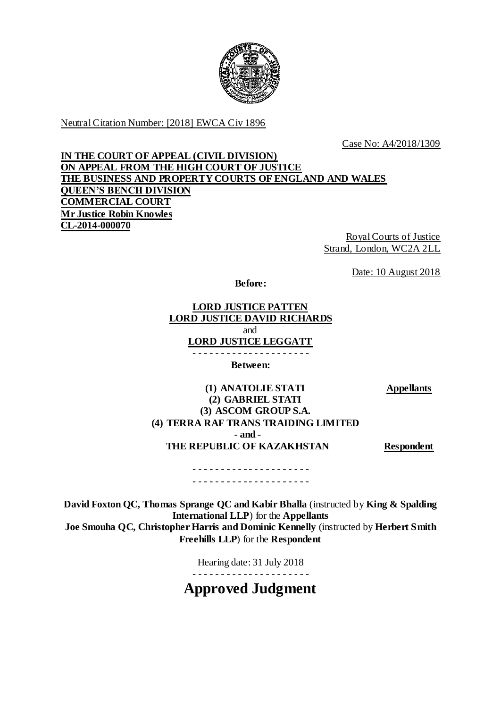

Neutral Citation Number: [2018] EWCA Civ 1896

Case No: A4/2018/1309

# **IN THE COURT OF APPEAL (CIVIL DIVISION) ON APPEAL FROM THE HIGH COURT OF JUSTICE THE BUSINESS AND PROPERTY COURTS OF ENGLAND AND WALES QUEEN'S BENCH DIVISION COMMERCIAL COURT Mr Justice Robin Knowles CL-2014-000070**

Royal Courts of Justice Strand, London, WC2A 2LL

Date: 10 August 2018

**Before:**

# **LORD JUSTICE PATTEN LORD JUSTICE DAVID RICHARDS** and **LORD JUSTICE LEGGATT**

- - - - - - - - - - - - - - - - - - - - - **Between:**

**Appellants**

## **(1) ANATOLIE STATI (2) GABRIEL STATI (3) ASCOM GROUP S.A. (4) TERRA RAF TRANS TRAIDING LIMITED - and - THE REPUBLIC OF KAZAKHSTAN Respondent**

- - - - - - - - - - - - - - - - - - - - - - - - - - - - - - - - - - - - - - - - - -

**David Foxton QC, Thomas Sprange QC and Kabir Bhalla** (instructed by **King & Spalding International LLP**) for the **Appellants Joe Smouha QC, Christopher Harris and Dominic Kennelly** (instructed by **Herbert Smith Freehills LLP**) for the **Respondent**

Hearing date: 31 July 2018

- - - - - - - - - - - - - - - - - - - - -

**Approved Judgment**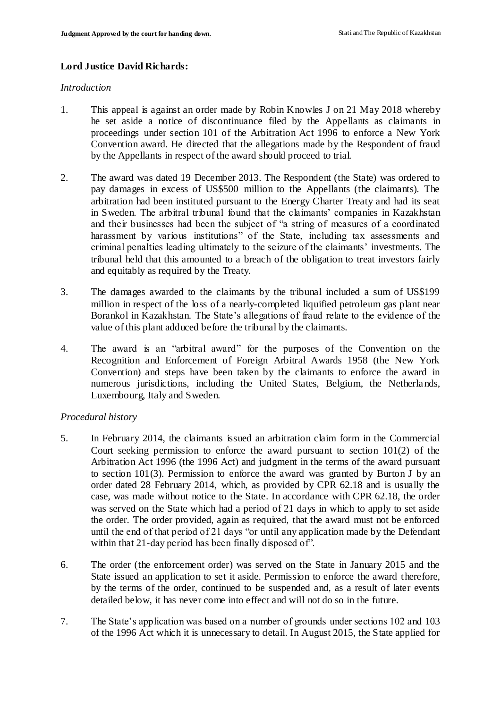### **Lord Justice David Richards:**

#### *Introduction*

- 1. This appeal is against an order made by Robin Knowles J on 21 May 2018 whereby he set aside a notice of discontinuance filed by the Appellants as claimants in proceedings under section 101 of the Arbitration Act 1996 to enforce a New York Convention award. He directed that the allegations made by the Respondent of fraud by the Appellants in respect of the award should proceed to trial.
- 2. The award was dated 19 December 2013. The Respondent (the State) was ordered to pay damages in excess of US\$500 million to the Appellants (the claimants). The arbitration had been instituted pursuant to the Energy Charter Treaty and had its seat in Sweden. The arbitral tribunal found that the claimants' companies in Kazakhstan and their businesses had been the subject of "a string of measures of a coordinated harassment by various institutions" of the State, including tax assessments and criminal penalties leading ultimately to the seizure of the claimants' investments. The tribunal held that this amounted to a breach of the obligation to treat investors fairly and equitably as required by the Treaty.
- 3. The damages awarded to the claimants by the tribunal included a sum of US\$199 million in respect of the loss of a nearly-completed liquified petroleum gas plant near Borankol in Kazakhstan. The State's allegations of fraud relate to the evidence of the value of this plant adduced before the tribunal by the claimants.
- 4. The award is an "arbitral award" for the purposes of the Convention on the Recognition and Enforcement of Foreign Arbitral Awards 1958 (the New York Convention) and steps have been taken by the claimants to enforce the award in numerous jurisdictions, including the United States, Belgium, the Netherla nds, Luxembourg, Italy and Sweden.

### *Procedural history*

- 5. In February 2014, the claimants issued an arbitration claim form in the Commercial Court seeking permission to enforce the award pursuant to section 101(2) of the Arbitration Act 1996 (the 1996 Act) and judgment in the terms of the award pursuant to section 101(3). Permission to enforce the award was granted by Burton J by an order dated 28 February 2014, which, as provided by CPR 62.18 and is usually the case, was made without notice to the State. In accordance with CPR 62.18, the order was served on the State which had a period of 21 days in which to apply to set aside the order. The order provided, again as required, that the award must not be enforced until the end of that period of 21 days "or until any application made by the Defendant within that 21-day period has been finally disposed of".
- 6. The order (the enforcement order) was served on the State in January 2015 and the State issued an application to set it aside. Permission to enforce the award therefore, by the terms of the order, continued to be suspended and, as a result of later events detailed below, it has never come into effect and will not do so in the future.
- 7. The State's application was based on a number of grounds under sections 102 and 103 of the 1996 Act which it is unnecessary to detail. In August 2015, the State applied for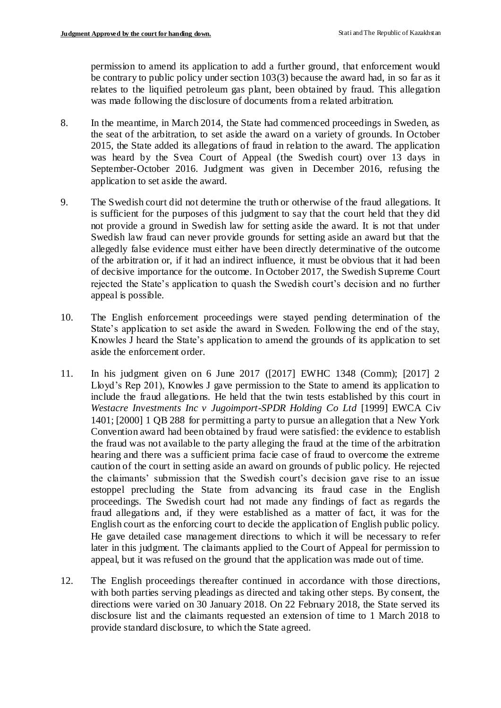permission to amend its application to add a further ground, that enforcement would be contrary to public policy under section 103(3) because the award had, in so far as it relates to the liquified petroleum gas plant, been obtained by fraud. This allegation was made following the disclosure of documents from a related arbitration.

- 8. In the meantime, in March 2014, the State had commenced proceedings in Sweden, as the seat of the arbitration, to set aside the award on a variety of grounds. In October 2015, the State added its allegations of fraud in relation to the award. The application was heard by the Svea Court of Appeal (the Swedish court) over 13 days in September-October 2016. Judgment was given in December 2016, refusing the application to set aside the award.
- 9. The Swedish court did not determine the truth or otherwise of the fraud allegations. It is sufficient for the purposes of this judgment to say that the court held that they did not provide a ground in Swedish law for setting aside the award. It is not that under Swedish law fraud can never provide grounds for setting aside an award but that the allegedly false evidence must either have been directly determinative of the outcome of the arbitration or, if it had an indirect influence, it must be obvious that it had been of decisive importance for the outcome. In October 2017, the Swedish Supreme Court rejected the State's application to quash the Swedish court's decision and no further appeal is possible.
- 10. The English enforcement proceedings were stayed pending determination of the State's application to set aside the award in Sweden. Following the end of the stay, Knowles J heard the State's application to amend the grounds of its application to set aside the enforcement order.
- 11. In his judgment given on 6 June 2017 ([2017] EWHC 1348 (Comm); [2017] 2 Lloyd's Rep 201), Knowles J gave permission to the State to amend its application to include the fraud allegations. He held that the twin tests established by this court in *Westacre Investments Inc v Jugoimport-SPDR Holding Co Ltd* [1999] EWCA Civ 1401; [2000] 1 QB 288 for permitting a party to pursue an allegation that a New York Convention award had been obtained by fraud were satisfied: the evidence to establish the fraud was not available to the party alleging the fraud at the time of the arbitration hearing and there was a sufficient prima facie case of fraud to overcome the extreme caution of the court in setting aside an award on grounds of public policy. He rejected the claimants' submission that the Swedish court's decision gave rise to an issue estoppel precluding the State from advancing its fraud case in the English proceedings. The Swedish court had not made any findings of fact as regards the fraud allegations and, if they were established as a matter of fact, it was for the English court as the enforcing court to decide the application of English public policy. He gave detailed case management directions to which it will be necessary to refer later in this judgment. The claimants applied to the Court of Appeal for permission to appeal, but it was refused on the ground that the application was made out of time.
- 12. The English proceedings thereafter continued in accordance with those directions, with both parties serving pleadings as directed and taking other steps. By consent, the directions were varied on 30 January 2018. On 22 February 2018, the State served its disclosure list and the claimants requested an extension of time to 1 March 2018 to provide standard disclosure, to which the State agreed.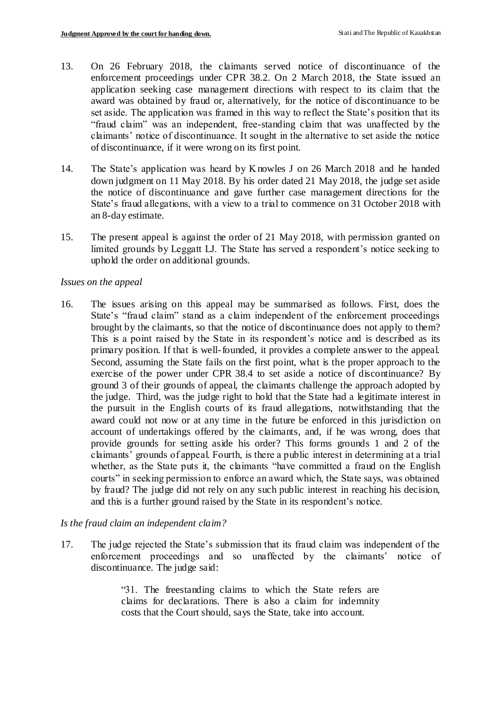- 13. On 26 February 2018, the claimants served notice of discontinuance of the enforcement proceedings under CPR 38.2. On 2 March 2018, the State issued an application seeking case management directions with respect to its claim that the award was obtained by fraud or, alternatively, for the notice of discontinuance to be set aside. The application was framed in this way to reflect the State's position that its "fraud claim" was an independent, free-standing claim that was unaffected by the claimants' notice of discontinuance. It sought in the alternative to set aside the notice of discontinuance, if it were wrong on its first point.
- 14. The State's application was heard by Knowles J on 26 March 2018 and he handed down judgment on 11 May 2018. By his order dated 21 May 2018, the judge set aside the notice of discontinuance and gave further case management directions for the State's fraud allegations, with a view to a trial to commence on 31 October 2018 with an 8-day estimate.
- 15. The present appeal is against the order of 21 May 2018, with permission granted on limited grounds by Leggatt LJ. The State has served a respondent's notice seeking to uphold the order on additional grounds.

#### *Issues on the appeal*

16. The issues arising on this appeal may be summarised as follows. First, does the State's "fraud claim" stand as a claim independent of the enforcement proceedings brought by the claimants, so that the notice of discontinuance does not apply to them? This is a point raised by the State in its respondent's notice and is described as its primary position. If that is well-founded, it provides a complete answer to the appeal. Second, assuming the State fails on the first point, what is the proper approach to the exercise of the power under CPR 38.4 to set aside a notice of discontinuance? By ground 3 of their grounds of appeal, the claimants challenge the approach adopted by the judge. Third, was the judge right to hold that the State had a legitimate interest in the pursuit in the English courts of its fraud allegations, notwithstanding that the award could not now or at any time in the future be enforced in this jurisdiction on account of undertakings offered by the claimants, and, if he was wrong, does that provide grounds for setting aside his order? This forms grounds 1 and 2 of the claimants' grounds of appeal. Fourth, is there a public interest in determining at a trial whether, as the State puts it, the claimants "have committed a fraud on the English courts" in seeking permission to enforce an award which, the State says, was obtained by fraud? The judge did not rely on any such public interest in reaching his decision, and this is a further ground raised by the State in its respondent's notice.

### *Is the fraud claim an independent claim?*

17. The judge rejected the State's submission that its fraud claim was independent of the enforcement proceedings and so unaffected by the claimants' notice of discontinuance. The judge said:

> "31. The freestanding claims to which the State refers are claims for declarations. There is also a claim for indemnity costs that the Court should, says the State, take into account.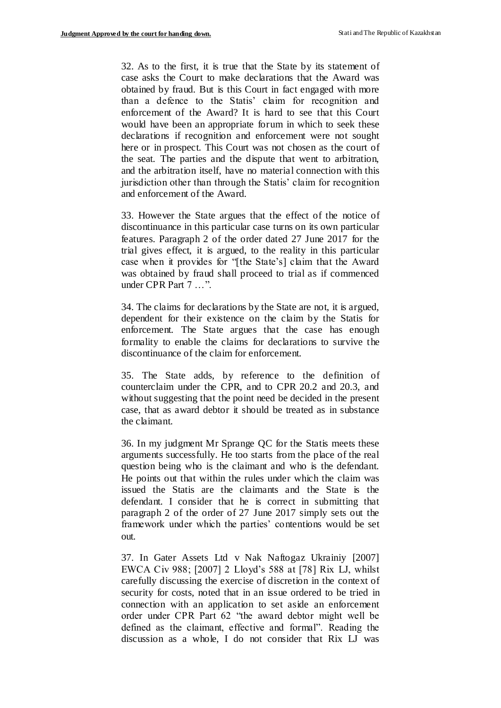32. As to the first, it is true that the State by its statement of case asks the Court to make declarations that the Award was obtained by fraud. But is this Court in fact engaged with more than a defence to the Statis' claim for recognition and enforcement of the Award? It is hard to see that this Court would have been an appropriate forum in which to seek these declarations if recognition and enforcement were not sought here or in prospect. This Court was not chosen as the court of the seat. The parties and the dispute that went to arbitration, and the arbitration itself, have no material connection with this jurisdiction other than through the Statis' claim for recognition and enforcement of the Award.

33. However the State argues that the effect of the notice of discontinuance in this particular case turns on its own particular features. Paragraph 2 of the order dated 27 June 2017 for the trial gives effect, it is argued, to the reality in this particular case when it provides for "[the State's] claim that the Award was obtained by fraud shall proceed to trial as if commenced under CPR Part 7 …".

34. The claims for declarations by the State are not, it is argued, dependent for their existence on the claim by the Statis for enforcement. The State argues that the case has enough formality to enable the claims for declarations to survive the discontinuance of the claim for enforcement.

35. The State adds, by reference to the definition of counterclaim under the CPR, and to CPR 20.2 and 20.3, and without suggesting that the point need be decided in the present case, that as award debtor it should be treated as in substance the claimant.

36. In my judgment Mr Sprange QC for the Statis meets these arguments successfully. He too starts from the place of the real question being who is the claimant and who is the defendant. He points out that within the rules under which the claim was issued the Statis are the claimants and the State is the defendant. I consider that he is correct in submitting that paragraph 2 of the order of 27 June 2017 simply sets out the framework under which the parties' contentions would be set out.

37. In Gater Assets Ltd v Nak Naftogaz Ukrainiy [2007] EWCA Civ 988; [2007] 2 Lloyd's 588 at [78] Rix LJ, whilst carefully discussing the exercise of discretion in the context of security for costs, noted that in an issue ordered to be tried in connection with an application to set aside an enforcement order under CPR Part 62 "the award debtor might well be defined as the claimant, effective and formal". Reading the discussion as a whole, I do not consider that Rix LJ was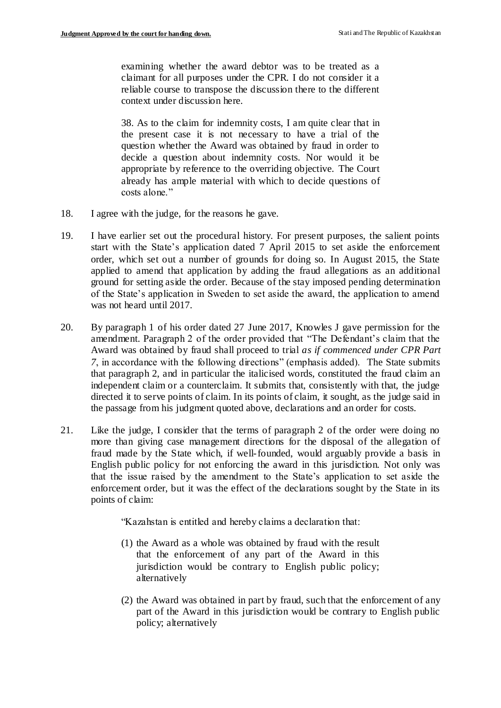examining whether the award debtor was to be treated as a claimant for all purposes under the CPR. I do not consider it a reliable course to transpose the discussion there to the different context under discussion here.

38. As to the claim for indemnity costs, I am quite clear that in the present case it is not necessary to have a trial of the question whether the Award was obtained by fraud in order to decide a question about indemnity costs. Nor would it be appropriate by reference to the overriding objective. The Court already has ample material with which to decide questions of costs alone."

- 18. I agree with the judge, for the reasons he gave.
- 19. I have earlier set out the procedural history. For present purposes, the salient points start with the State's application dated 7 April 2015 to set aside the enforcement order, which set out a number of grounds for doing so. In August 2015, the State applied to amend that application by adding the fraud allegations as an additional ground for setting aside the order. Because of the stay imposed pending determination of the State's application in Sweden to set aside the award, the application to amend was not heard until 2017.
- 20. By paragraph 1 of his order dated 27 June 2017, Knowles J gave permission for the amendment. Paragraph 2 of the order provided that "The Defendant's claim that the Award was obtained by fraud shall proceed to trial *as if commenced under CPR Part 7*, in accordance with the following directions" (emphasis added). The State submits that paragraph 2, and in particular the italicised words, constituted the fraud claim an independent claim or a counterclaim. It submits that, consistently with that, the judge directed it to serve points of claim. In its points of claim, it sought, as the judge said in the passage from his judgment quoted above, declarations and an order for costs.
- 21. Like the judge, I consider that the terms of paragraph 2 of the order were doing no more than giving case management directions for the disposal of the allegation of fraud made by the State which, if well-founded, would arguably provide a basis in English public policy for not enforcing the award in this jurisdiction. Not only was that the issue raised by the amendment to the State's application to set aside the enforcement order, but it was the effect of the declarations sought by the State in its points of claim:

"Kazahstan is entitled and hereby claims a declaration that:

- (1) the Award as a whole was obtained by fraud with the result that the enforcement of any part of the Award in this jurisdiction would be contrary to English public policy; alternatively
- (2) the Award was obtained in part by fraud, such that the enforcement of any part of the Award in this jurisdiction would be contrary to English public policy; alternatively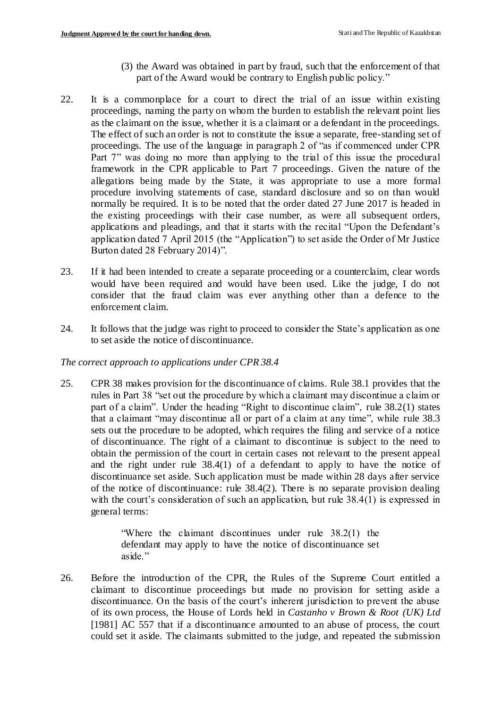- (3) the Award was obtained in part by fraud, such that the enforcement of that part of the Award would be contrary to English public policy."
- 22. It is a commonplace for a court to direct the trial of an issue within existing proceedings, naming the party on whom the burden to establish the relevant point lies as the claimant on the issue, whether it is a claimant or a defendant in the proceedings. The effect of such an order is not to constitute the issue a separate, free-standing set of proceedings. The use of the language in paragraph 2 of "as if commenced under CPR Part 7" was doing no more than applying to the trial of this issue the procedural framework in the CPR applicable to Part 7 proceedings. Given the nature of the allegations being made by the State, it was appropriate to use a more formal procedure involving statements of case, standard disclosure and so on than would normally be required. It is to be noted that the order dated 27 June 2017 is headed in the existing proceedings with their case number, as were all subsequent orders, applications and pleadings, and that it starts with the recital "Upon the Defendant's application dated 7 April 2015 (the "Application") to set aside the Order of Mr Justice Burton dated 28 February 2014)".
- 23. If it had been intended to create a separate proceeding or a counterclaim, clear words would have been required and would have been used. Like the judge, I do not consider that the fraud claim was ever anything other than a defence to the enforcement claim.
- 24. It follows that the judge was right to proceed to consider the State's application as one to set aside the notice of discontinuance.

### *The correct approach to applications under CPR 38.4*

25. CPR 38 makes provision for the discontinuance of claims. Rule 38.1 provides that the rules in Part 38 "set out the procedure by which a claimant may discontinue a claim or part of a claim". Under the heading "Right to discontinue claim", rule 38.2(1) states that a claimant "may discontinue all or part of a claim at any time", while rule 38.3 sets out the procedure to be adopted, which requires the filing and service of a notice of discontinuance. The right of a claimant to discontinue is subject to the need to obtain the permission of the court in certain cases not relevant to the present appeal and the right under rule 38.4(1) of a defendant to apply to have the notice of discontinuance set aside. Such application must be made within 28 days after service of the notice of discontinuance: rule 38.4(2). There is no separate provision dealing with the court's consideration of such an application, but rule  $38.4(1)$  is expressed in general terms:

> "Where the claimant discontinues under rule 38.2(1) the defendant may apply to have the notice of discontinuance set aside."

26. Before the introduction of the CPR, the Rules of the Supreme Court entitled a claimant to discontinue proceedings but made no provision for setting aside a discontinuance. On the basis of the court's inherent jurisdiction to prevent the abuse of its own process, the House of Lords held in *Castanho v Brown & Root (UK) Ltd*  [1981] AC 557 that if a discontinuance amounted to an abuse of process, the court could set it aside. The claimants submitted to the judge, and repeated the submission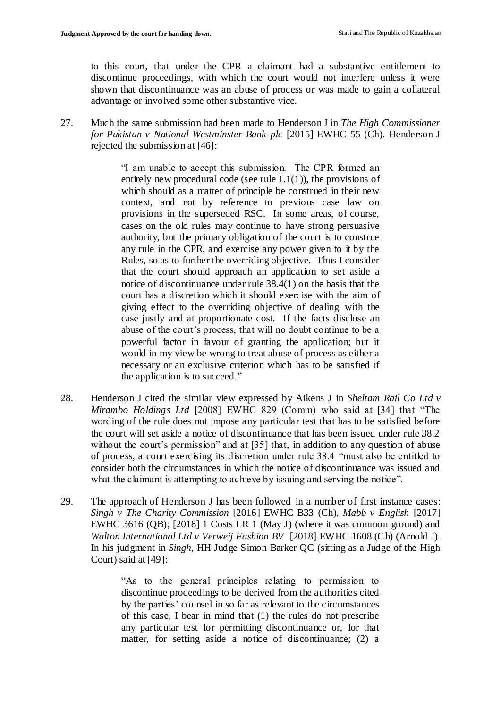to this court, that under the CPR a claimant had a substantive entitlement to discontinue proceedings, with which the court would not interfere unless it were shown that discontinuance was an abuse of process or was made to gain a collateral advantage or involved some other substantive vice.

27. Much the same submission had been made to Henderson J in *The High Commissioner for Pakistan v National Westminster Bank plc* [2015] EWHC 55 (Ch). Henderson J rejected the submission at [46]:

> "I am unable to accept this submission. The CPR formed an entirely new procedural code (see rule  $1.1(1)$ ), the provisions of which should as a matter of principle be construed in their new context, and not by reference to previous case law on provisions in the superseded RSC. In some areas, of course, cases on the old rules may continue to have strong persuasive authority, but the primary obligation of the court is to construe any rule in the CPR, and exercise any power given to it by the Rules, so as to further the overriding objective. Thus I consider that the court should approach an application to set aside a notice of discontinuance under rule 38.4(1) on the basis that the court has a discretion which it should exercise with the aim of giving effect to the overriding objective of dealing with the case justly and at proportionate cost. If the facts disclose an abuse of the court's process, that will no doubt continue to be a powerful factor in favour of granting the application; but it would in my view be wrong to treat abuse of process as either a necessary or an exclusive criterion which has to be satisfied if the application is to succeed."

- 28. Henderson J cited the similar view expressed by Aikens J in *Sheltam Rail Co Ltd v Mirambo Holdings Ltd* [2008] EWHC 829 (Comm) who said at [34] that "The wording of the rule does not impose any particular test that has to be satisfied before the court will set aside a notice of discontinuance that has been issued under rule 38.2 without the court's permission" and at [35] that, in addition to any question of abuse of process, a court exercising its discretion under rule 38.4 "must also be entitled to consider both the circumstances in which the notice of discontinuance was issued and what the claimant is attempting to achieve by issuing and serving the notice".
- 29. The approach of Henderson J has been followed in a number of first instance cases: *Singh v The Charity Commission* [2016] EWHC B33 (Ch), *Mabb v English* [2017] EWHC 3616 (QB); [2018] 1 Costs LR 1 (May J) (where it was common ground) and *Walton International Ltd v Verweij Fashion BV* [2018] EWHC 1608 (Ch) (Arnold J). In his judgment in *Singh*, HH Judge Simon Barker QC (sitting as a Judge of the High Court) said at [49]:

"As to the general principles relating to permission to discontinue proceedings to be derived from the authorities cited by the parties' counsel in so far as relevant to the circumstances of this case, I bear in mind that (1) the rules do not prescribe any particular test for permitting discontinuance or, for that matter, for setting aside a notice of discontinuance; (2) a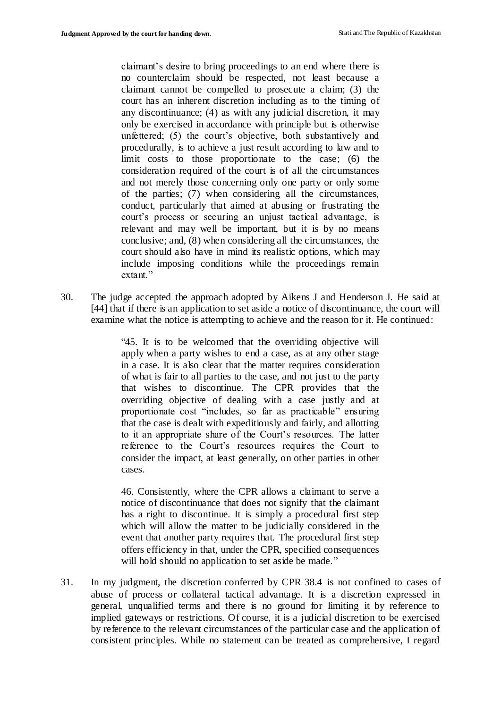claimant's desire to bring proceedings to an end where there is no counterclaim should be respected, not least because a claimant cannot be compelled to prosecute a claim; (3) the court has an inherent discretion including as to the timing of any discontinuance; (4) as with any judicial discretion, it may only be exercised in accordance with principle but is otherwise unfettered; (5) the court's objective, both substantively and procedurally, is to achieve a just result according to law and to limit costs to those proportionate to the case; (6) the consideration required of the court is of all the circumstances and not merely those concerning only one party or only some of the parties; (7) when considering all the circumstances, conduct, particularly that aimed at abusing or frustrating the court's process or securing an unjust tactical advantage, is relevant and may well be important, but it is by no means conclusive; and, (8) when considering all the circumstances, the court should also have in mind its realistic options, which may include imposing conditions while the proceedings remain extant."

30. The judge accepted the approach adopted by Aikens J and Henderson J. He said at [44] that if there is an application to set aside a notice of discontinuance, the court will examine what the notice is attempting to achieve and the reason for it. He continued:

> "45. It is to be welcomed that the overriding objective will apply when a party wishes to end a case, as at any other stage in a case. It is also clear that the matter requires consideration of what is fair to all parties to the case, and not just to the party that wishes to discontinue. The CPR provides that the overriding objective of dealing with a case justly and at proportionate cost "includes, so far as practicable" ensuring that the case is dealt with expeditiously and fairly, and allotting to it an appropriate share of the Court's resources. The latter reference to the Court's resources requires the Court to consider the impact, at least generally, on other parties in other cases.

> 46. Consistently, where the CPR allows a claimant to serve a notice of discontinuance that does not signify that the claimant has a right to discontinue. It is simply a procedural first step which will allow the matter to be judicially considered in the event that another party requires that. The procedural first step offers efficiency in that, under the CPR, specified consequences will hold should no application to set aside be made."

31. In my judgment, the discretion conferred by CPR 38.4 is not confined to cases of abuse of process or collateral tactical advantage. It is a discretion expressed in general, unqualified terms and there is no ground for limiting it by reference to implied gateways or restrictions. Of course, it is a judicial discretion to be exercised by reference to the relevant circumstances of the particular case and the application of consistent principles. While no statement can be treated as comprehensive, I regard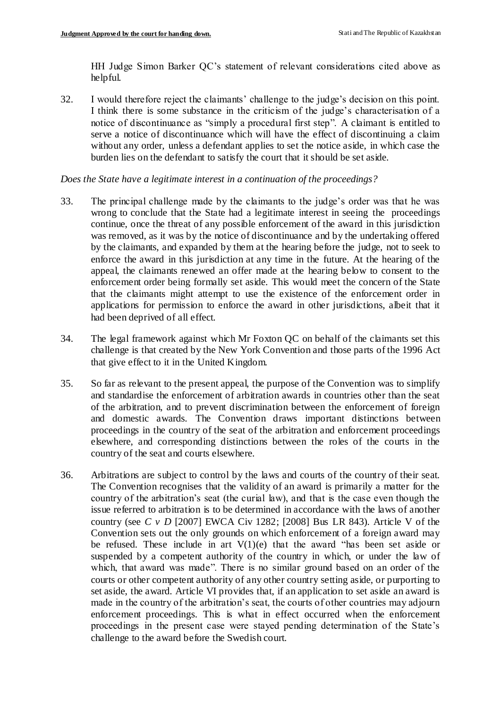HH Judge Simon Barker QC's statement of relevant considerations cited above as helpful.

32. I would therefore reject the claimants' challenge to the judge's decision on this point. I think there is some substance in the criticism of the judge's characterisation of a notice of discontinuance as "simply a procedural first step". A claimant is entitled to serve a notice of discontinuance which will have the effect of discontinuing a claim without any order, unless a defendant applies to set the notice aside, in which case the burden lies on the defendant to satisfy the court that it should be set aside.

### *Does the State have a legitimate interest in a continuation of the proceedings?*

- 33. The principal challenge made by the claimants to the judge's order was that he was wrong to conclude that the State had a legitimate interest in seeing the proceedings continue, once the threat of any possible enforcement of the award in this jurisdiction was removed, as it was by the notice of discontinuance and by the undertaking offered by the claimants, and expanded by them at the hearing before the judge, not to seek to enforce the award in this jurisdiction at any time in the future. At the hearing of the appeal, the claimants renewed an offer made at the hearing below to consent to the enforcement order being formally set aside. This would meet the concern of the State that the claimants might attempt to use the existence of the enforcement order in applications for permission to enforce the award in other jurisdictions, albeit that it had been deprived of all effect.
- 34. The legal framework against which Mr Foxton QC on behalf of the claimants set this challenge is that created by the New York Convention and those parts of the 1996 Act that give effect to it in the United Kingdom.
- 35. So far as relevant to the present appeal, the purpose of the Convention was to simplify and standardise the enforcement of arbitration awards in countries other than the seat of the arbitration, and to prevent discrimination between the enforcement of foreign and domestic awards. The Convention draws important distinctions between proceedings in the country of the seat of the arbitration and enforcement proceedings elsewhere, and corresponding distinctions between the roles of the courts in the country of the seat and courts elsewhere.
- 36. Arbitrations are subject to control by the laws and courts of the country of their seat. The Convention recognises that the validity of an award is primarily a matter for the country of the arbitration's seat (the curial law), and that is the case even though the issue referred to arbitration is to be determined in accordance with the laws of another country (see *C v D* [2007] EWCA Civ 1282; [2008] Bus LR 843). Article V of the Convention sets out the only grounds on which enforcement of a foreign award may be refused. These include in art  $V(1)(e)$  that the award "has been set aside or suspended by a competent authority of the country in which, or under the law of which, that award was made". There is no similar ground based on an order of the courts or other competent authority of any other country setting aside, or purporting to set aside, the award. Article VI provides that, if an application to set aside an award is made in the country of the arbitration's seat, the courts of other countries may adjourn enforcement proceedings. This is what in effect occurred when the enforcement proceedings in the present case were stayed pending determination of the State's challenge to the award before the Swedish court.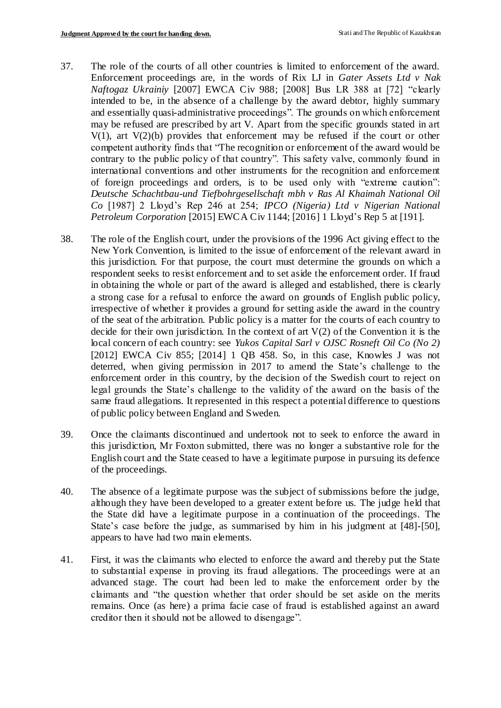- 37. The role of the courts of all other countries is limited to enforcement of the award. Enforcement proceedings are, in the words of Rix LJ in *Gater Assets Ltd v Nak Naftogaz Ukrainiy* [2007] EWCA Civ 988; [2008] Bus LR 388 at [72] "clearly intended to be, in the absence of a challenge by the award debtor, highly summary and essentially quasi-administrative proceedings". The grounds on which enforcement may be refused are prescribed by art V. Apart from the specific grounds stated in art  $V(1)$ , art  $V(2)(b)$  provides that enforcement may be refused if the court or other competent authority finds that "The recognition or enforcement of the award would be contrary to the public policy of that country". This safety valve, commonly found in international conventions and other instruments for the recognition and enforcement of foreign proceedings and orders, is to be used only with "extreme caution": *Deutsche Schachtbau-und Tiefbohrgesellschaft mbh v Ras Al Khaimah National Oil Co* [1987] 2 Lloyd's Rep 246 at 254; *IPCO (Nigeria) Ltd v Nigerian National Petroleum Corporation* [2015] EWCA Civ 1144; [2016] 1 Lloyd's Rep 5 at [191].
- 38. The role of the English court, under the provisions of the 1996 Act giving effect to the New York Convention, is limited to the issue of enforcement of the relevant award in this jurisdiction. For that purpose, the court must determine the grounds on which a respondent seeks to resist enforcement and to set aside the enforcement order. If fraud in obtaining the whole or part of the award is alleged and established, there is clearly a strong case for a refusal to enforce the award on grounds of English public policy, irrespective of whether it provides a ground for setting aside the award in the country of the seat of the arbitration. Public policy is a matter for the courts of each country to decide for their own jurisdiction. In the context of art  $V(2)$  of the Convention it is the local concern of each country: see *Yukos Capital Sarl v OJSC Rosneft Oil Co (No 2)* [2012] EWCA Civ 855; [2014] 1 OB 458. So, in this case, Knowles J was not deterred, when giving permission in 2017 to amend the State's challenge to the enforcement order in this country, by the decision of the Swedish court to reject on legal grounds the State's challenge to the validity of the award on the basis of the same fraud allegations. It represented in this respect a potential difference to questions of public policy between England and Sweden.
- 39. Once the claimants discontinued and undertook not to seek to enforce the award in this jurisdiction, Mr Foxton submitted, there was no longer a substantive role for the English court and the State ceased to have a legitimate purpose in pursuing its defence of the proceedings.
- 40. The absence of a legitimate purpose was the subject of submissions before the judge, although they have been developed to a greater extent before us. The judge held that the State did have a legitimate purpose in a continuation of the proceedings. The State's case before the judge, as summarised by him in his judgment at [48]-[50], appears to have had two main elements.
- 41. First, it was the claimants who elected to enforce the award and thereby put the State to substantial expense in proving its fraud allegations. The proceedings were at an advanced stage. The court had been led to make the enforcement order by the claimants and "the question whether that order should be set aside on the merits remains. Once (as here) a prima facie case of fraud is established against an award creditor then it should not be allowed to disengage".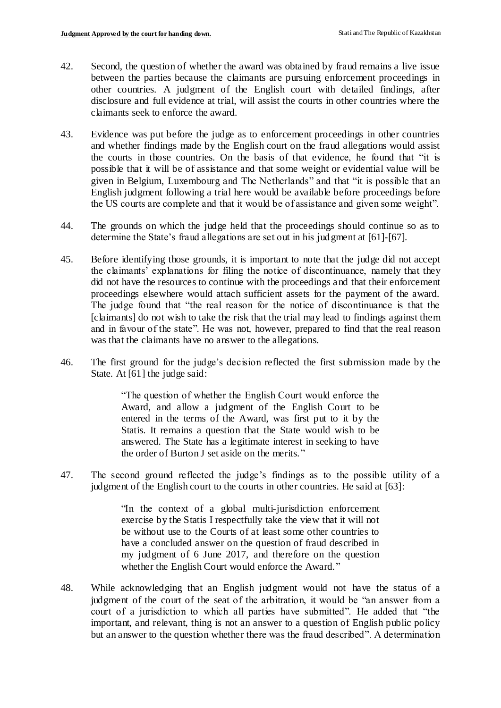- 42. Second, the question of whether the award was obtained by fraud remains a live issue between the parties because the claimants are pursuing enforcement proceedings in other countries. A judgment of the English court with detailed findings, after disclosure and full evidence at trial, will assist the courts in other countries where the claimants seek to enforce the award.
- 43. Evidence was put before the judge as to enforcement proceedings in other countries and whether findings made by the English court on the fraud allegations would assist the courts in those countries. On the basis of that evidence, he found that "it is possible that it will be of assistance and that some weight or evidential value will be given in Belgium, Luxembourg and The Netherlands" and that "it is possible that an English judgment following a trial here would be available before proceedings before the US courts are complete and that it would be of assistance and given some weight".
- 44. The grounds on which the judge held that the proceedings should continue so as to determine the State's fraud allegations are set out in his judgment at [61]-[67].
- 45. Before identifying those grounds, it is important to note that the judge did not accept the claimants' explanations for filing the notice of discontinuance, namely that they did not have the resources to continue with the proceedings and that their enforcement proceedings elsewhere would attach sufficient assets for the payment of the award. The judge found that "the real reason for the notice of discontinuance is that the [claimants] do not wish to take the risk that the trial may lead to findings against them and in favour of the state". He was not, however, prepared to find that the real reason was that the claimants have no answer to the allegations.
- 46. The first ground for the judge's decision reflected the first submission made by the State. At [61] the judge said:

"The question of whether the English Court would enforce the Award, and allow a judgment of the English Court to be entered in the terms of the Award, was first put to it by the Statis. It remains a question that the State would wish to be answered. The State has a legitimate interest in seeking to have the order of Burton J set aside on the merits."

47. The second ground reflected the judge's findings as to the possible utility of a judgment of the English court to the courts in other countries. He said at [63]:

> "In the context of a global multi-jurisdiction enforcement exercise by the Statis I respectfully take the view that it will not be without use to the Courts of at least some other countries to have a concluded answer on the question of fraud described in my judgment of 6 June 2017, and therefore on the question whether the English Court would enforce the Award."

48. While acknowledging that an English judgment would not have the status of a judgment of the court of the seat of the arbitration, it would be "an answer from a court of a jurisdiction to which all parties have submitted". He added that "the important, and relevant, thing is not an answer to a question of English public policy but an answer to the question whether there was the fraud described". A determination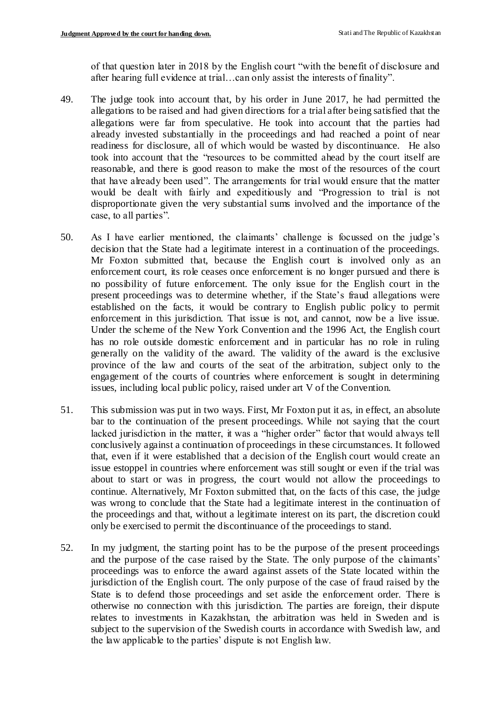of that question later in 2018 by the English court "with the benefit of disclosure and after hearing full evidence at trial…can only assist the interests of finality".

- 49. The judge took into account that, by his order in June 2017, he had permitted the allegations to be raised and had given directions for a trial after being satisfied that the allegations were far from speculative. He took into account that the parties had already invested substantially in the proceedings and had reached a point of near readiness for disclosure, all of which would be wasted by discontinuance. He also took into account that the "resources to be committed ahead by the court itself are reasonable, and there is good reason to make the most of the resources of the court that have already been used". The arrangements for trial would ensure that the matter would be dealt with fairly and expeditiously and "Progression to trial is not disproportionate given the very substantial sums involved and the importance of the case, to all parties".
- 50. As I have earlier mentioned, the claimants' challenge is focussed on the judge's decision that the State had a legitimate interest in a continuation of the proceedings. Mr Foxton submitted that, because the English court is involved only as an enforcement court, its role ceases once enforcement is no longer pursued and there is no possibility of future enforcement. The only issue for the English court in the present proceedings was to determine whether, if the State's fraud allegations were established on the facts, it would be contrary to English public policy to permit enforcement in this jurisdiction. That issue is not, and cannot, now be a live issue. Under the scheme of the New York Convention and the 1996 Act, the English court has no role outside domestic enforcement and in particular has no role in ruling generally on the validity of the award. The validity of the award is the exclusive province of the law and courts of the seat of the arbitration, subject only to the engagement of the courts of countries where enforcement is sought in determining issues, including local public policy, raised under art V of the Convention.
- 51. This submission was put in two ways. First, Mr Foxton put it as, in effect, an absolute bar to the continuation of the present proceedings. While not saying that the court lacked jurisdiction in the matter, it was a "higher order" factor that would always tell conclusively against a continuation of proceedings in these circumstances. It followed that, even if it were established that a decision of the English court would create an issue estoppel in countries where enforcement was still sought or even if the trial was about to start or was in progress, the court would not allow the proceedings to continue. Alternatively, Mr Foxton submitted that, on the facts of this case, the judge was wrong to conclude that the State had a legitimate interest in the continuation of the proceedings and that, without a legitimate interest on its part, the discretion could only be exercised to permit the discontinuance of the proceedings to stand.
- 52. In my judgment, the starting point has to be the purpose of the present proceedings and the purpose of the case raised by the State. The only purpose of the claimants' proceedings was to enforce the award against assets of the State located within the jurisdiction of the English court. The only purpose of the case of fraud raised by the State is to defend those proceedings and set aside the enforcement order. There is otherwise no connection with this jurisdiction. The parties are foreign, their dispute relates to investments in Kazakhstan, the arbitration was held in Sweden and is subject to the supervision of the Swedish courts in accordance with Swedish law, and the law applicable to the parties' dispute is not English law.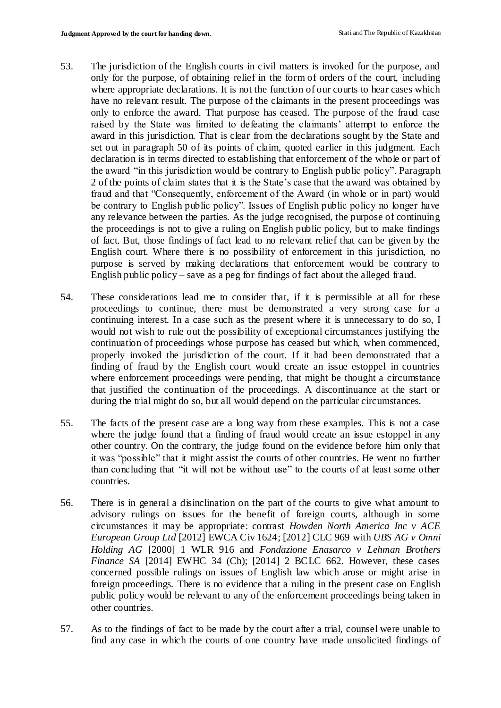- 53. The jurisdiction of the English courts in civil matters is invoked for the purpose, and only for the purpose, of obtaining relief in the form of orders of the court, including where appropriate declarations. It is not the function of our courts to hear cases which have no relevant result. The purpose of the claimants in the present proceedings was only to enforce the award. That purpose has ceased. The purpose of the fraud case raised by the State was limited to defeating the claimants' attempt to enforce the award in this jurisdiction. That is clear from the declarations sought by the State and set out in paragraph 50 of its points of claim, quoted earlier in this judgment. Each declaration is in terms directed to establishing that enforcement of the whole or part of the award "in this jurisdiction would be contrary to English public policy". Paragraph 2 of the points of claim states that it is the State's case that the award was obtained by fraud and that "Consequently, enforcement of the Award (in whole or in part) would be contrary to English public policy". Issues of English public policy no longer have any relevance between the parties. As the judge recognised, the purpose of continuing the proceedings is not to give a ruling on English public policy, but to make findings of fact. But, those findings of fact lead to no relevant relief that can be given by the English court. Where there is no possibility of enforcement in this jurisdiction, no purpose is served by making declarations that enforcement would be contrary to English public policy – save as a peg for findings of fact about the alleged fraud.
- 54. These considerations lead me to consider that, if it is permissible at all for these proceedings to continue, there must be demonstrated a very strong case for a continuing interest. In a case such as the present where it is unnecessary to do so, I would not wish to rule out the possibility of exceptional circumstances justifying the continuation of proceedings whose purpose has ceased but which, when commenced, properly invoked the jurisdiction of the court. If it had been demonstrated that a finding of fraud by the English court would create an issue estoppel in countries where enforcement proceedings were pending, that might be thought a circumstance that justified the continuation of the proceedings. A discontinuance at the start or during the trial might do so, but all would depend on the particular circumstances.
- 55. The facts of the present case are a long way from these examples. This is not a case where the judge found that a finding of fraud would create an issue estoppel in any other country. On the contrary, the judge found on the evidence before him only that it was "possible" that it might assist the courts of other countries. He went no further than concluding that "it will not be without use" to the courts of at least some other countries.
- 56. There is in general a disinclination on the part of the courts to give what amount to advisory rulings on issues for the benefit of foreign courts, although in some circumstances it may be appropriate: contrast *Howden North America Inc v ACE European Group Ltd* [2012] EWCA Civ 1624; [2012] CLC 969 with *UBS AG v Omni Holding AG* [2000] 1 WLR 916 and *Fondazione Enasarco v Lehman Brothers Finance SA* [2014] EWHC 34 (Ch); [2014] 2 BCLC 662. However, these cases concerned possible rulings on issues of English law which arose or might arise in foreign proceedings. There is no evidence that a ruling in the present case on English public policy would be relevant to any of the enforcement proceedings being taken in other countries.
- 57. As to the findings of fact to be made by the court after a trial, counsel were unable to find any case in which the courts of one country have made unsolicited findings of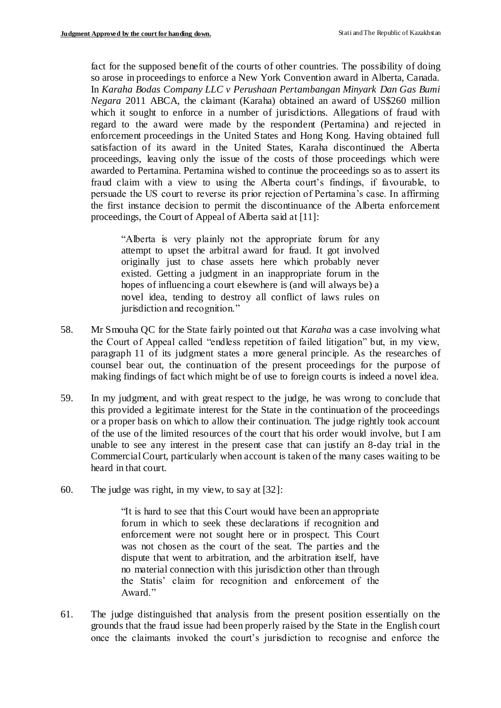fact for the supposed benefit of the courts of other countries. The possibility of doing so arose in proceedings to enforce a New York Convention award in Alberta, Canada. In *Karaha Bodas Company LLC v Perushaan Pertambangan Minyark Dan Gas Bumi Negara* 2011 ABCA, the claimant (Karaha) obtained an award of US\$260 million which it sought to enforce in a number of jurisdictions. Allegations of fraud with regard to the award were made by the respondent (Pertamina) and rejected in enforcement proceedings in the United States and Hong Kong. Having obtained full satisfaction of its award in the United States, Karaha discontinued the Alberta proceedings, leaving only the issue of the costs of those proceedings which were awarded to Pertamina. Pertamina wished to continue the proceedings so as to assert its fraud claim with a view to using the Alberta court's findings, if favourable, to persuade the US court to reverse its prior rejection of Pertamina's case. In affirming the first instance decision to permit the discontinuance of the Alberta enforcement proceedings, the Court of Appeal of Alberta said at [11]:

"Alberta is very plainly not the appropriate forum for any attempt to upset the arbitral award for fraud. It got involved originally just to chase assets here which probably never existed. Getting a judgment in an inappropriate forum in the hopes of influencing a court elsewhere is (and will always be) a novel idea, tending to destroy all conflict of laws rules on jurisdiction and recognition."

- 58. Mr Smouha QC for the State fairly pointed out that *Karaha* was a case involving what the Court of Appeal called "endless repetition of failed litigation" but, in my view, paragraph 11 of its judgment states a more general principle. As the researches of counsel bear out, the continuation of the present proceedings for the purpose of making findings of fact which might be of use to foreign courts is indeed a novel idea.
- 59. In my judgment, and with great respect to the judge, he was wrong to conclude that this provided a legitimate interest for the State in the continuation of the proceedings or a proper basis on which to allow their continuation. The judge rightly took account of the use of the limited resources of the court that his order would involve, but I am unable to see any interest in the present case that can justify an 8-day trial in the Commercial Court, particularly when account is taken of the many cases waiting to be heard in that court.
- 60. The judge was right, in my view, to say at [32]:

"It is hard to see that this Court would have been an appropriate forum in which to seek these declarations if recognition and enforcement were not sought here or in prospect. This Court was not chosen as the court of the seat. The parties and the dispute that went to arbitration, and the arbitration itself, have no material connection with this jurisdiction other than through the Statis' claim for recognition and enforcement of the Award."

61. The judge distinguished that analysis from the present position essentially on the grounds that the fraud issue had been properly raised by the State in the English court once the claimants invoked the court's jurisdiction to recognise and enforce the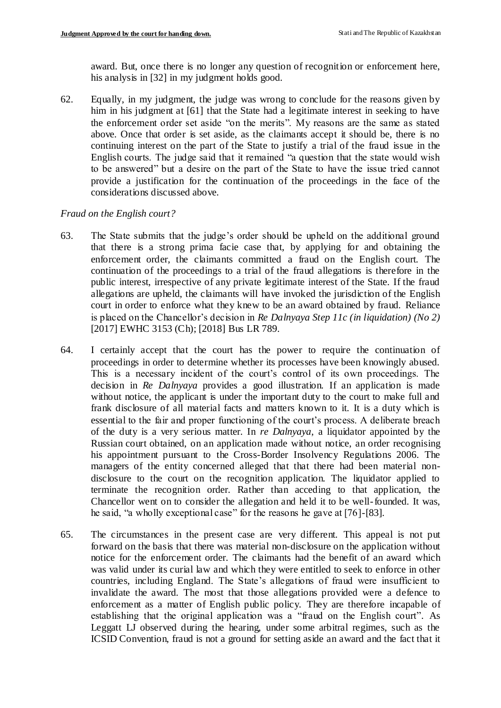award. But, once there is no longer any question of recognition or enforcement here, his analysis in [32] in my judgment holds good.

62. Equally, in my judgment, the judge was wrong to conclude for the reasons given by him in his judgment at [61] that the State had a legitimate interest in seeking to have the enforcement order set aside "on the merits". My reasons are the same as stated above. Once that order is set aside, as the claimants accept it should be, there is no continuing interest on the part of the State to justify a trial of the fraud issue in the English courts. The judge said that it remained "a question that the state would wish to be answered" but a desire on the part of the State to have the issue tried cannot provide a justification for the continuation of the proceedings in the face of the considerations discussed above.

### *Fraud on the English court?*

- 63. The State submits that the judge's order should be upheld on the additional ground that there is a strong prima facie case that, by applying for and obtaining the enforcement order, the claimants committed a fraud on the English court. The continuation of the proceedings to a trial of the fraud allegations is therefore in the public interest, irrespective of any private legitimate interest of the State. If the fraud allegations are upheld, the claimants will have invoked the jurisdiction of the English court in order to enforce what they knew to be an award obtained by fraud. Reliance is placed on the Chancellor's decision in *Re Dalnyaya Step 11c (in liquidation) (No 2)*  [2017] EWHC 3153 (Ch); [2018] Bus LR 789.
- 64. I certainly accept that the court has the power to require the continuation of proceedings in order to determine whether its processes have been knowingly abused. This is a necessary incident of the court's control of its own proceedings. The decision in *Re Dalnyaya* provides a good illustration. If an application is made without notice, the applicant is under the important duty to the court to make full and frank disclosure of all material facts and matters known to it. It is a duty which is essential to the fair and proper functioning of the court's process. A deliberate breach of the duty is a very serious matter. In *re Dalnyaya*, a liquidator appointed by the Russian court obtained, on an application made without notice, an order recognising his appointment pursuant to the Cross-Border Insolvency Regulations 2006. The managers of the entity concerned alleged that that there had been material nondisclosure to the court on the recognition application. The liquidator applied to terminate the recognition order. Rather than acceding to that application, the Chancellor went on to consider the allegation and held it to be well-founded. It was, he said, "a wholly exceptional case" for the reasons he gave at [76]-[83].
- 65. The circumstances in the present case are very different. This appeal is not put forward on the basis that there was material non-disclosure on the application without notice for the enforcement order. The claimants had the benefit of an award which was valid under its curial law and which they were entitled to seek to enforce in other countries, including England. The State's allegations of fraud were insufficient to invalidate the award. The most that those allegations provided were a defence to enforcement as a matter of English public policy. They are therefore incapable of establishing that the original application was a "fraud on the English court". As Leggatt LJ observed during the hearing, under some arbitral regimes, such as the ICSID Convention, fraud is not a ground for setting aside an award and the fact that it